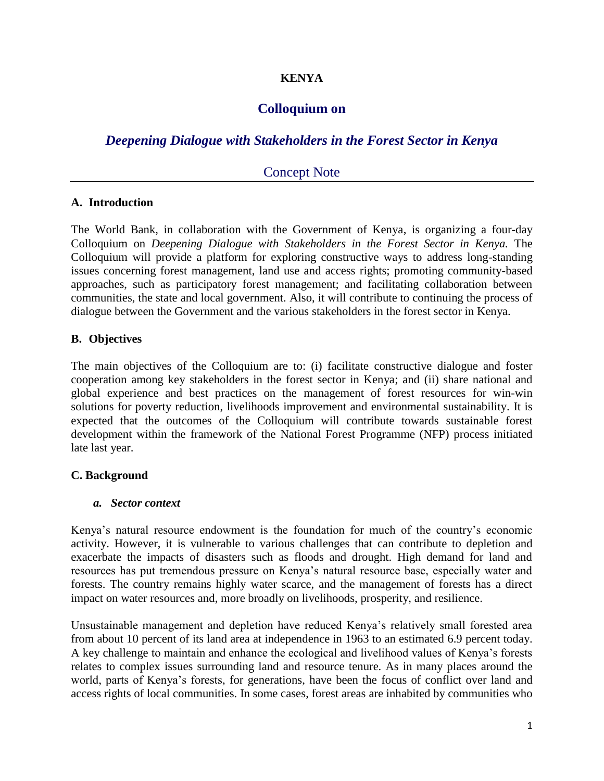## **KENYA**

## **Colloquium on**

# *Deepening Dialogue with Stakeholders in the Forest Sector in Kenya*

## Concept Note

#### **A. Introduction**

The World Bank, in collaboration with the Government of Kenya, is organizing a four-day Colloquium on *Deepening Dialogue with Stakeholders in the Forest Sector in Kenya.* The Colloquium will provide a platform for exploring constructive ways to address long-standing issues concerning forest management, land use and access rights; promoting community-based approaches, such as participatory forest management; and facilitating collaboration between communities, the state and local government. Also, it will contribute to continuing the process of dialogue between the Government and the various stakeholders in the forest sector in Kenya.

### **B. Objectives**

The main objectives of the Colloquium are to: (i) facilitate constructive dialogue and foster cooperation among key stakeholders in the forest sector in Kenya; and (ii) share national and global experience and best practices on the management of forest resources for win-win solutions for poverty reduction, livelihoods improvement and environmental sustainability. It is expected that the outcomes of the Colloquium will contribute towards sustainable forest development within the framework of the National Forest Programme (NFP) process initiated late last year.

### **C. Background**

#### *a. Sector context*

Kenya's natural resource endowment is the foundation for much of the country's economic activity. However, it is vulnerable to various challenges that can contribute to depletion and exacerbate the impacts of disasters such as floods and drought. High demand for land and resources has put tremendous pressure on Kenya's natural resource base, especially water and forests. The country remains highly water scarce, and the management of forests has a direct impact on water resources and, more broadly on livelihoods, prosperity, and resilience.

Unsustainable management and depletion have reduced Kenya's relatively small forested area from about 10 percent of its land area at independence in 1963 to an estimated 6.9 percent today. A key challenge to maintain and enhance the ecological and livelihood values of Kenya's forests relates to complex issues surrounding land and resource tenure. As in many places around the world, parts of Kenya's forests, for generations, have been the focus of conflict over land and access rights of local communities. In some cases, forest areas are inhabited by communities who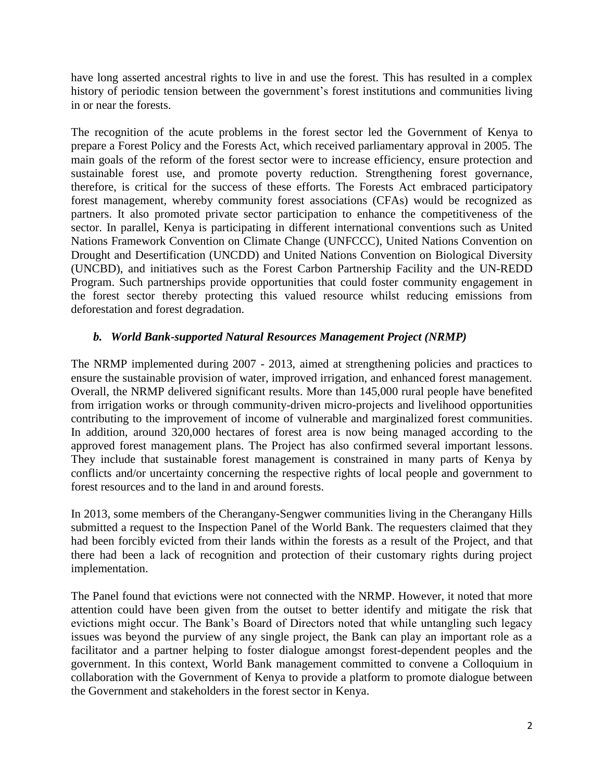have long asserted ancestral rights to live in and use the forest. This has resulted in a complex history of periodic tension between the government's forest institutions and communities living in or near the forests.

The recognition of the acute problems in the forest sector led the Government of Kenya to prepare a Forest Policy and the Forests Act, which received parliamentary approval in 2005. The main goals of the reform of the forest sector were to increase efficiency, ensure protection and sustainable forest use, and promote poverty reduction. Strengthening forest governance, therefore, is critical for the success of these efforts. The Forests Act embraced participatory forest management, whereby community forest associations (CFAs) would be recognized as partners. It also promoted private sector participation to enhance the competitiveness of the sector. In parallel, Kenya is participating in different international conventions such as United Nations Framework Convention on Climate Change (UNFCCC), United Nations Convention on Drought and Desertification (UNCDD) and United Nations Convention on Biological Diversity (UNCBD), and initiatives such as the Forest Carbon Partnership Facility and the UN-REDD Program. Such partnerships provide opportunities that could foster community engagement in the forest sector thereby protecting this valued resource whilst reducing emissions from deforestation and forest degradation.

## *b. World Bank-supported Natural Resources Management Project (NRMP)*

The NRMP implemented during 2007 - 2013, aimed at strengthening policies and practices to ensure the sustainable provision of water, improved irrigation, and enhanced forest management. Overall, the NRMP delivered significant results. More than 145,000 rural people have benefited from irrigation works or through community-driven micro-projects and livelihood opportunities contributing to the improvement of income of vulnerable and marginalized forest communities. In addition, around 320,000 hectares of forest area is now being managed according to the approved forest management plans. The Project has also confirmed several important lessons. They include that sustainable forest management is constrained in many parts of Kenya by conflicts and/or uncertainty concerning the respective rights of local people and government to forest resources and to the land in and around forests.

In 2013, some members of the Cherangany-Sengwer communities living in the Cherangany Hills submitted a request to the Inspection Panel of the World Bank. The requesters claimed that they had been forcibly evicted from their lands within the forests as a result of the Project, and that there had been a lack of recognition and protection of their customary rights during project implementation.

The Panel found that evictions were not connected with the NRMP. However, it noted that more attention could have been given from the outset to better identify and mitigate the risk that evictions might occur. The Bank's Board of Directors noted that while untangling such legacy issues was beyond the purview of any single project, the Bank can play an important role as a facilitator and a partner helping to foster dialogue amongst forest-dependent peoples and the government. In this context, World Bank management committed to convene a Colloquium in collaboration with the Government of Kenya to provide a platform to promote dialogue between the Government and stakeholders in the forest sector in Kenya.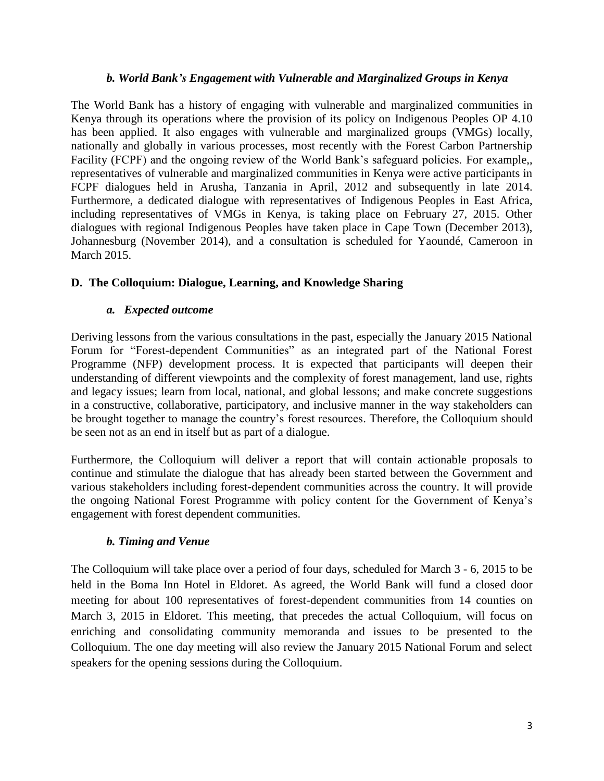#### *b. World Bank's Engagement with Vulnerable and Marginalized Groups in Kenya*

The World Bank has a history of engaging with vulnerable and marginalized communities in Kenya through its operations where the provision of its policy on Indigenous Peoples OP 4.10 has been applied. It also engages with vulnerable and marginalized groups (VMGs) locally, nationally and globally in various processes, most recently with the Forest Carbon Partnership Facility (FCPF) and the ongoing review of the World Bank's safeguard policies. For example,, representatives of vulnerable and marginalized communities in Kenya were active participants in FCPF dialogues held in Arusha, Tanzania in April, 2012 and subsequently in late 2014. Furthermore, a dedicated dialogue with representatives of Indigenous Peoples in East Africa, including representatives of VMGs in Kenya, is taking place on February 27, 2015. Other dialogues with regional Indigenous Peoples have taken place in Cape Town (December 2013), Johannesburg (November 2014), and a consultation is scheduled for Yaoundé, Cameroon in March 2015.

### **D. The Colloquium: Dialogue, Learning, and Knowledge Sharing**

### *a. Expected outcome*

Deriving lessons from the various consultations in the past, especially the January 2015 National Forum for "Forest-dependent Communities" as an integrated part of the National Forest Programme (NFP) development process. It is expected that participants will deepen their understanding of different viewpoints and the complexity of forest management, land use, rights and legacy issues; learn from local, national, and global lessons; and make concrete suggestions in a constructive, collaborative, participatory, and inclusive manner in the way stakeholders can be brought together to manage the country's forest resources. Therefore, the Colloquium should be seen not as an end in itself but as part of a dialogue.

Furthermore, the Colloquium will deliver a report that will contain actionable proposals to continue and stimulate the dialogue that has already been started between the Government and various stakeholders including forest-dependent communities across the country. It will provide the ongoing National Forest Programme with policy content for the Government of Kenya's engagement with forest dependent communities.

### *b. Timing and Venue*

The Colloquium will take place over a period of four days, scheduled for March 3 - 6, 2015 to be held in the Boma Inn Hotel in Eldoret. As agreed, the World Bank will fund a closed door meeting for about 100 representatives of forest-dependent communities from 14 counties on March 3, 2015 in Eldoret. This meeting, that precedes the actual Colloquium, will focus on enriching and consolidating community memoranda and issues to be presented to the Colloquium. The one day meeting will also review the January 2015 National Forum and select speakers for the opening sessions during the Colloquium.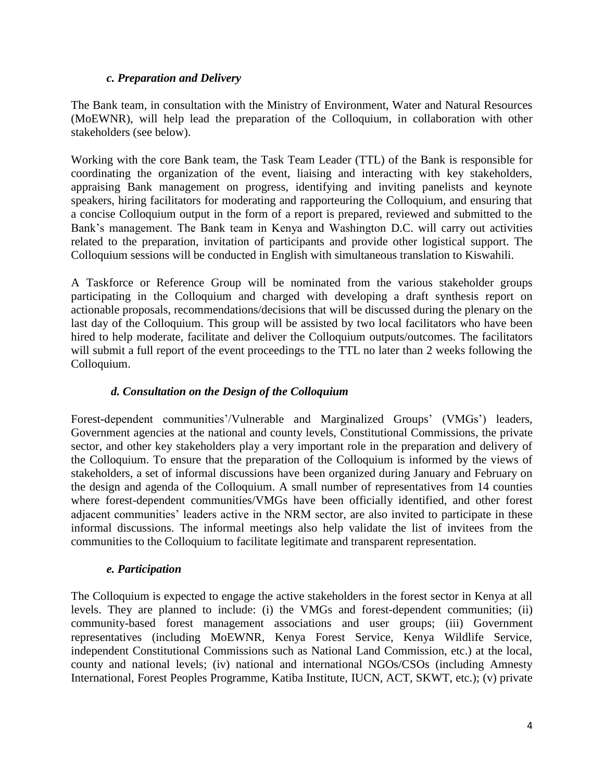### *c. Preparation and Delivery*

The Bank team, in consultation with the Ministry of Environment, Water and Natural Resources (MoEWNR), will help lead the preparation of the Colloquium, in collaboration with other stakeholders (see below).

Working with the core Bank team, the Task Team Leader (TTL) of the Bank is responsible for coordinating the organization of the event, liaising and interacting with key stakeholders, appraising Bank management on progress, identifying and inviting panelists and keynote speakers, hiring facilitators for moderating and rapporteuring the Colloquium, and ensuring that a concise Colloquium output in the form of a report is prepared, reviewed and submitted to the Bank's management. The Bank team in Kenya and Washington D.C. will carry out activities related to the preparation, invitation of participants and provide other logistical support. The Colloquium sessions will be conducted in English with simultaneous translation to Kiswahili.

A Taskforce or Reference Group will be nominated from the various stakeholder groups participating in the Colloquium and charged with developing a draft synthesis report on actionable proposals, recommendations/decisions that will be discussed during the plenary on the last day of the Colloquium. This group will be assisted by two local facilitators who have been hired to help moderate, facilitate and deliver the Colloquium outputs/outcomes. The facilitators will submit a full report of the event proceedings to the TTL no later than 2 weeks following the Colloquium.

### *d. Consultation on the Design of the Colloquium*

Forest-dependent communities'/Vulnerable and Marginalized Groups' (VMGs') leaders, Government agencies at the national and county levels, Constitutional Commissions, the private sector, and other key stakeholders play a very important role in the preparation and delivery of the Colloquium. To ensure that the preparation of the Colloquium is informed by the views of stakeholders, a set of informal discussions have been organized during January and February on the design and agenda of the Colloquium. A small number of representatives from 14 counties where forest-dependent communities/VMGs have been officially identified, and other forest adjacent communities' leaders active in the NRM sector, are also invited to participate in these informal discussions. The informal meetings also help validate the list of invitees from the communities to the Colloquium to facilitate legitimate and transparent representation.

#### *e. Participation*

The Colloquium is expected to engage the active stakeholders in the forest sector in Kenya at all levels. They are planned to include: (i) the VMGs and forest-dependent communities; (ii) community-based forest management associations and user groups; (iii) Government representatives (including MoEWNR, Kenya Forest Service, Kenya Wildlife Service, independent Constitutional Commissions such as National Land Commission, etc.) at the local, county and national levels; (iv) national and international NGOs/CSOs (including Amnesty International, Forest Peoples Programme, Katiba Institute, IUCN, ACT, SKWT, etc.); (v) private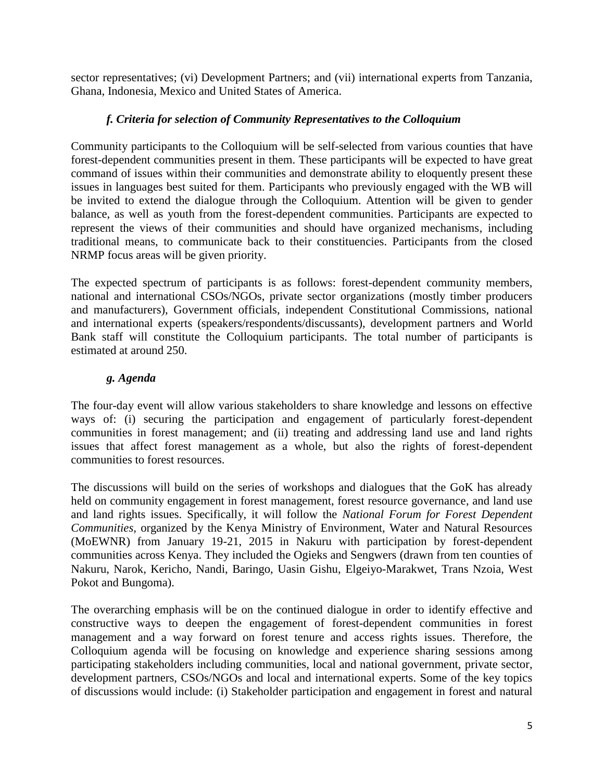sector representatives; (vi) Development Partners; and (vii) international experts from Tanzania, Ghana, Indonesia, Mexico and United States of America.

### *f. Criteria for selection of Community Representatives to the Colloquium*

Community participants to the Colloquium will be self-selected from various counties that have forest-dependent communities present in them. These participants will be expected to have great command of issues within their communities and demonstrate ability to eloquently present these issues in languages best suited for them. Participants who previously engaged with the WB will be invited to extend the dialogue through the Colloquium. Attention will be given to gender balance, as well as youth from the forest-dependent communities. Participants are expected to represent the views of their communities and should have organized mechanisms, including traditional means, to communicate back to their constituencies. Participants from the closed NRMP focus areas will be given priority.

The expected spectrum of participants is as follows: forest-dependent community members, national and international CSOs/NGOs, private sector organizations (mostly timber producers and manufacturers), Government officials, independent Constitutional Commissions, national and international experts (speakers/respondents/discussants), development partners and World Bank staff will constitute the Colloquium participants. The total number of participants is estimated at around 250.

## *g. Agenda*

The four-day event will allow various stakeholders to share knowledge and lessons on effective ways of: (i) securing the participation and engagement of particularly forest-dependent communities in forest management; and (ii) treating and addressing land use and land rights issues that affect forest management as a whole, but also the rights of forest-dependent communities to forest resources.

The discussions will build on the series of workshops and dialogues that the GoK has already held on community engagement in forest management, forest resource governance, and land use and land rights issues. Specifically, it will follow the *National Forum for Forest Dependent Communities,* organized by the Kenya Ministry of Environment, Water and Natural Resources (MoEWNR) from January 19-21, 2015 in Nakuru with participation by forest-dependent communities across Kenya. They included the Ogieks and Sengwers (drawn from ten counties of Nakuru, Narok, Kericho, Nandi, Baringo, Uasin Gishu, Elgeiyo-Marakwet, Trans Nzoia, West Pokot and Bungoma).

The overarching emphasis will be on the continued dialogue in order to identify effective and constructive ways to deepen the engagement of forest-dependent communities in forest management and a way forward on forest tenure and access rights issues. Therefore, the Colloquium agenda will be focusing on knowledge and experience sharing sessions among participating stakeholders including communities, local and national government, private sector, development partners, CSOs/NGOs and local and international experts. Some of the key topics of discussions would include: (i) Stakeholder participation and engagement in forest and natural